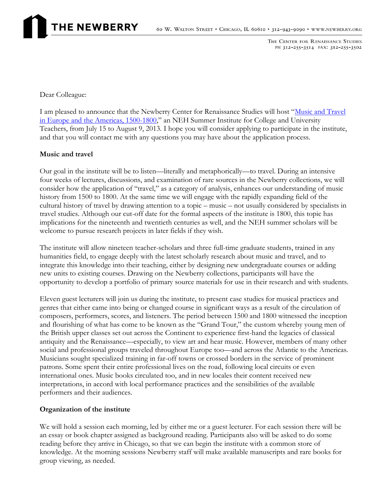THE CENTER FOR RENAISSANCE STUDIES PH 312-255-3514 FAX: 312-255-3502

Dear Colleague:

I am pleased to announce that the Newberry Center for Renaissance Studies will host "Music and Travel" [in Europe and the Americas, 1500-1800](http://www.newberry.org/Music-and-Travel-1500-1800)," an NEH Summer Institute for College and University Teachers, from July 15 to August 9, 2013. I hope you will consider applying to participate in the institute, and that you will contact me with any questions you may have about the application process.

### **Music and travel**

Our goal in the institute will be to listen—literally and metaphorically—to travel. During an intensive four weeks of lectures, discussions, and examination of rare sources in the Newberry collections, we will consider how the application of "travel," as a category of analysis, enhances our understanding of music history from 1500 to 1800. At the same time we will engage with the rapidly expanding field of the cultural history of travel by drawing attention to a topic – music – not usually considered by specialists in travel studies. Although our cut-off date for the formal aspects of the institute is 1800, this topic has implications for the nineteenth and twentieth centuries as well, and the NEH summer scholars will be welcome to pursue research projects in later fields if they wish.

The institute will allow nineteen teacher-scholars and three full-time graduate students, trained in any humanities field, to engage deeply with the latest scholarly research about music and travel, and to integrate this knowledge into their teaching, either by designing new undergraduate courses or adding new units to existing courses. Drawing on the Newberry collections, participants will have the opportunity to develop a portfolio of primary source materials for use in their research and with students.

Eleven guest lecturers will join us during the institute, to present case studies for musical practices and genres that either came into being or changed course in significant ways as a result of the circulation of composers, performers, scores, and listeners. The period between 1500 and 1800 witnessed the inception and flourishing of what has come to be known as the "Grand Tour," the custom whereby young men of the British upper classes set out across the Continent to experience first-hand the legacies of classical antiquity and the Renaissance—especially, to view art and hear music. However, members of many other social and professional groups traveled throughout Europe too—and across the Atlantic to the Americas. Musicians sought specialized training in far-off towns or crossed borders in the service of prominent patrons. Some spent their entire professional lives on the road, following local circuits or even international ones. Music books circulated too, and in new locales their content received new interpretations, in accord with local performance practices and the sensibilities of the available performers and their audiences.

#### **Organization of the institute**

We will hold a session each morning, led by either me or a guest lecturer. For each session there will be an essay or book chapter assigned as background reading. Participants also will be asked to do some reading before they arrive in Chicago, so that we can begin the institute with a common store of knowledge. At the morning sessions Newberry staff will make available manuscripts and rare books for group viewing, as needed.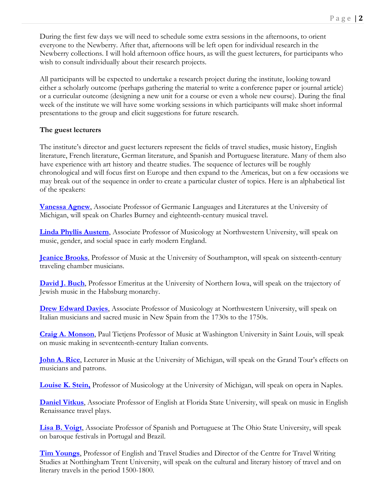During the first few days we will need to schedule some extra sessions in the afternoons, to orient everyone to the Newberry. After that, afternoons will be left open for individual research in the Newberry collections. I will hold afternoon office hours, as will the guest lecturers, for participants who wish to consult individually about their research projects.

All participants will be expected to undertake a research project during the institute, looking toward either a scholarly outcome (perhaps gathering the material to write a conference paper or journal article) or a curricular outcome (designing a new unit for a course or even a whole new course). During the final week of the institute we will have some working sessions in which participants will make short informal presentations to the group and elicit suggestions for future research.

# **The guest lecturers**

The institute's director and guest lecturers represent the fields of travel studies, music history, English literature, French literature, German literature, and Spanish and Portuguese literature. Many of them also have experience with art history and theatre studies. The sequence of lectures will be roughly chronological and will focus first on Europe and then expand to the Americas, but on a few occasions we may break out of the sequence in order to create a particular cluster of topics. Here is an alphabetical list of the speakers:

**[Vanessa Agnew](http://www.lsa.umich.edu/german/people/faculty/agnewvanessa_ci)**, Associate Professor of Germanic Languages and Literatures at the University of Michigan, will speak on Charles Burney and eighteenth-century musical travel.

**[Linda Phyllis Austern](http://www.music.northwestern.edu/faculty/profiles/linda-phyllis-austern.html)**, Associate Professor of Musicology at Northwestern University, will speak on music, gender, and social space in early modern England.

**[Jeanice Brooks](http://www.southampton.ac.uk/music/about/staff/ljb1.page)**, Professor of Music at the University of Southampton, will speak on sixteenth-century traveling chamber musicians.

**[David J. Buch](http://en.wikipedia.org/wiki/David_J._Buch)**, Professor Emeritus at the University of Northern Iowa, will speak on the trajectory of Jewish music in the Habsburg monarchy.

**[Drew Edward Davies](http://www.music.northwestern.edu/faculty/profiles/drew-edward-davies.html)**, Associate Professor of Musicology at Northwestern University, will speak on Italian musicians and sacred music in New Spain from the 1730s to the 1750s.

**[Craig A. Monson](http://artsci.wustl.edu/~camonson/)**, Paul Tietjens Professor of Music at Washington University in Saint Louis, will speak on music making in seventeenth-century Italian convents.

**[John A. Rice](https://mcommunity.umich.edu/#profile:riceja)**, Lecturer in Music at the University of Michigan, will speak on the Grand Tour's effects on musicians and patrons.

**[Louise K. Stein,](http://www.music.umich.edu/faculty_staff/bio.php?u=lkstein)** Professor of Musicology at the University of Michigan, will speak on opera in Naples.

**[Daniel Vitkus](http://english.fsu.edu/faculty/dvitkus.htm)**, Associate Professor of English at Florida State University, will speak on music in English Renaissance travel plays.

**[Lisa B. Voigt](http://sppo.osu.edu/people/voigt)**, Associate Professor of Spanish and Portuguese at The Ohio State University, will speak on baroque festivals in Portugal and Brazil.

**[Tim Youngs](http://www.ntu.ac.uk/apps/staff_profiles/staff_directory/125892-0/26/timothy_youngs.aspx)**, Professor of English and Travel Studies and Director of the Centre for Travel Writing Studies at Notthingham Trent University, will speak on the cultural and literary history of travel and on literary travels in the period 1500-1800.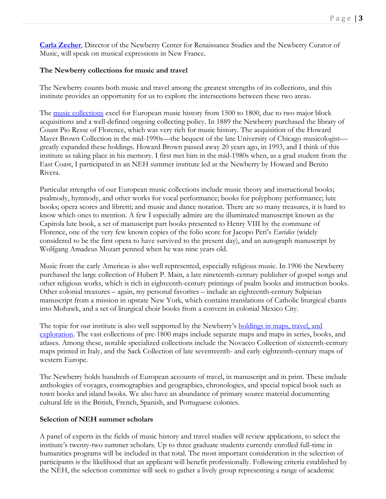**[Carla Zecher](http://www.newberry.org/staff-biographies#zecher)**, Director of the Newberry Center for Renaissance Studies and the Newberry Curator of Music, will speak on musical expressions in New France.

### **The Newberry collections for music and travel**

The Newberry counts both music and travel among the greatest strengths of its collections, and this institute provides an opportunity for us to explore the intersections between these two areas.

The <u>music collections</u> excel for European music history from 1500 to 1800, due to two major block acquisitions and a well-defined ongoing collecting policy. In 1889 the Newberry purchased the library of Count Pio Resse of Florence, which was very rich for music history. The acquisition of the Howard Mayer Brown Collection in the mid-1990s—the bequest of the late University of Chicago musicologist greatly expanded these holdings. Howard Brown passed away 20 years ago, in 1993, and I think of this institute as taking place in his memory. I first met him in the mid-1980s when, as a grad student from the East Coast, I participated in an NEH summer institute led at the Newberry by Howard and Benito Rivera.

Particular strengths of our European music collections include music theory and instructional books; psalmody, hymnody, and other works for vocal performance; books for polyphony performance; lute books; opera scores and libretti; and music and dance notation. There are so many treasures, it is hard to know which ones to mention. A few I especially admire are the illuminated manuscript known as the Capirola lute book, a set of manuscript part books presented to Henry VIII by the commune of Florence, one of the very few known copies of the folio score for Jacopo Peri's *Euridice* (widely considered to be the first opera to have survived to the present day), and an autograph manuscript by Wolfgang Amadeus Mozart penned when he was nine years old.

Music from the early Americas is also well represented, especially religious music. In 1906 the Newberry purchased the large collection of Hubert P. Main, a late nineteenth-century publisher of gospel songs and other religious works, which is rich in eighteenth-century printings of psalm books and instruction books. Other colonial treasures – again, my personal favorites – include an eighteenth-century Sulpician manuscript from a mission in upstate New York, which contains translations of Catholic liturgical chants into Mohawk, and a set of liturgical choir books from a convent in colonial Mexico City.

The topic for our institute is also well supported by the Newberry's holdings in maps, travel, and [exploration.](http://www.newberry.org/maps-travel-and-exploration) The vast collections of pre-1800 maps include separate maps and maps in series, books, and atlases. Among these, notable specialized collections include the Novacco Collection of sixteenth-century maps printed in Italy, and the Sack Collection of late seventeenth- and early eighteenth-century maps of western Europe.

The Newberry holds hundreds of European accounts of travel, in manuscript and in print. These include anthologies of voyages, cosmographies and geographies, chronologies, and special topical book such as town books and island books. We also have an abundance of primary source material documenting cultural life in the British, French, Spanish, and Portuguese colonies.

#### **Selection of NEH summer scholars**

A panel of experts in the fields of music history and travel studies will review applications, to select the institute's twenty-two summer scholars. Up to three graduate students currently enrolled full-time in humanities programs will be included in that total. The most important consideration in the selection of participants is the likelihood that an applicant will benefit professionally. Following criteria established by the NEH, the selection committee will seek to gather a lively group representing a range of academic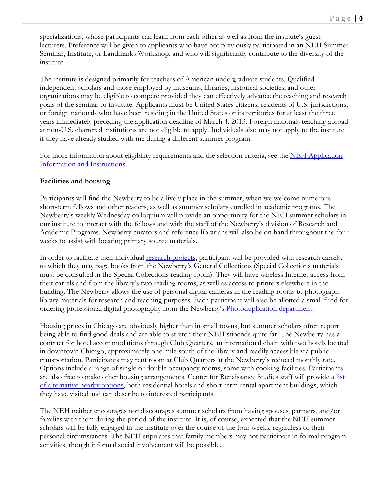specializations, whose participants can learn from each other as well as from the institute's guest lecturers. Preference will be given to applicants who have not previously participated in an NEH Summer Seminar, Institute, or Landmarks Workshop, and who will significantly contribute to the diversity of the institute.

The institute is designed primarily for teachers of American undergraduate students. Qualified independent scholars and those employed by museums, libraries, historical societies, and other organizations may be eligible to compete provided they can effectively advance the teaching and research goals of the seminar or institute. Applicants must be United States citizens, residents of U.S. jurisdictions, or foreign nationals who have been residing in the United States or its territories for at least the three years immediately preceding the application deadline of March 4, 2013. Foreign nationals teaching abroad at non-U.S. chartered institutions are not eligible to apply. Individuals also may not apply to the institute if they have already studied with me during a different summer program.

For more information about eligibility requirements and the selection criteria, see the NEH Application [Information and Instructions.](http://www.newberry.org/sites/default/files/calendar-attachments/ApplicationInformationAndInstructions.pdf)

### **Facilities and housing**

Participants will find the Newberry to be a lively place in the summer, when we welcome numerous short-term fellows and other readers, as well as summer scholars enrolled in academic programs. The Newberry's weekly Wednesday colloquium will provide an opportunity for the NEH summer scholars in our institute to interact with the fellows and with the staff of the Newberry's division of Research and Academic Programs. Newberry curators and reference librarians will also be on hand throughout the four weeks to assist with locating primary source materials.

In order to facilitate their individual [research projects,](http://www.newberry.org/research-visits) participant will be provided with research carrels, to which they may page books from the Newberry's General Collections (Special Collections materials must be consulted in the Special Collections reading room). They will have wireless Internet access from their carrels and from the library's two reading rooms, as well as access to printers elsewhere in the building. The Newberry allows the use of personal digital cameras in the reading rooms to photograph library materials for research and teaching purposes. Each participant will also be allotted a small fund for ordering professional digital photography from the Newberry's [Photoduplication department.](http://www.newberry.org/rights-and-reproductions)

Housing prices in Chicago are obviously higher than in small towns, but summer scholars often report being able to find good deals and are able to stretch their NEH stipends quite far. The Newberry has a contract for hotel accommodations through Club Quarters, an international chain with two hotels located in downtown Chicago, approximately one mile south of the library and readily accessible via public transportation. Participants may rent room at Club Quarters at the Newberry's reduced monthly rate. Options include a range of single or double occupancy rooms, some with cooking facilities. Participants are also free to make other housing arrangements. Center for Renaissance Studies staff will provide a list [of alternative nearby options,](http://www.newberry.org/accommodations-and-dining) both residential hotels and short-term rental apartment buildings, which they have visited and can describe to interested participants.

The NEH neither encourages nor discourages summer scholars from having spouses, partners, and/or families with them during the period of the institute. It is, of course, expected that the NEH summer scholars will be fully engaged in the institute over the course of the four weeks, regardless of their personal circumstances. The NEH stipulates that family members may not participate in formal program activities, though informal social involvement will be possible.